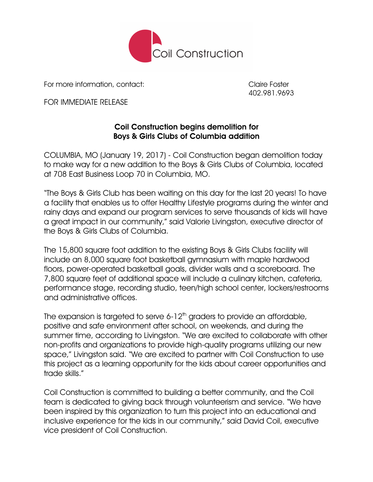

For more information, contact: Claire Foster

402.981.9693

FOR IMMEDIATE RELEASE

## Coil Construction begins demolition for Boys & Girls Clubs of Columbia addition

COLUMBIA, MO (January 19, 2017) - Coil Construction began demolition today to make way for a new addition to the Boys & Girls Clubs of Columbia, located at 708 East Business Loop 70 in Columbia, MO.

"The Boys & Girls Club has been waiting on this day for the last 20 years! To have a facility that enables us to offer Healthy Lifestyle programs during the winter and rainy days and expand our program services to serve thousands of kids will have a great impact in our community," said Valorie Livingston, executive director of the Boys & Girls Clubs of Columbia.

The 15,800 square foot addition to the existing Boys & Girls Clubs facility will include an 8,000 square foot basketball gymnasium with maple hardwood floors, power-operated basketball goals, divider walls and a scoreboard. The 7,800 square feet of additional space will include a culinary kitchen, cafeteria, performance stage, recording studio, teen/high school center, lockers/restrooms and administrative offices.

The expansion is targeted to serve 6-12<sup>th</sup> graders to provide an affordable, positive and safe environment after school, on weekends, and during the summer time, according to Livingston. "We are excited to collaborate with other non-profits and organizations to provide high-quality programs utilizing our new space," Livingston said. "We are excited to partner with Coil Construction to use this project as a learning opportunity for the kids about career opportunities and trade skills."

Coil Construction is committed to building a better community, and the Coil team is dedicated to giving back through volunteerism and service. "We have been inspired by this organization to turn this project into an educational and inclusive experience for the kids in our community," said David Coil, executive vice president of Coil Construction.